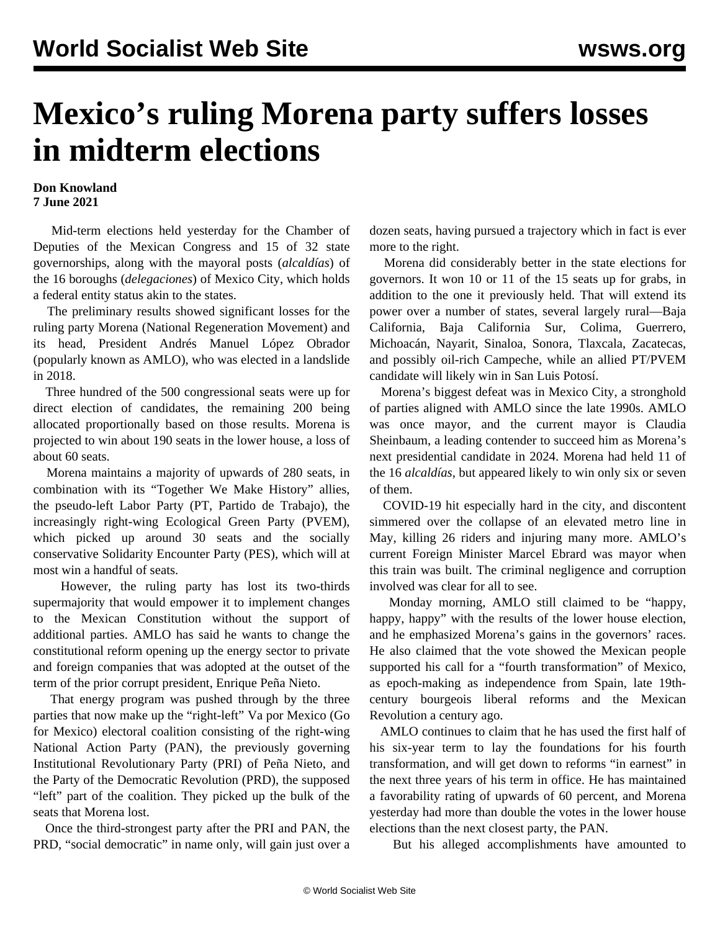## **Mexico's ruling Morena party suffers losses in midterm elections**

## **Don Knowland 7 June 2021**

 Mid-term elections held yesterday for the Chamber of Deputies of the Mexican Congress and 15 of 32 state governorships, along with the mayoral posts (*alcaldías*) of the 16 boroughs (*delegaciones*) of Mexico City, which holds a federal entity status akin to the states.

 The preliminary results showed significant losses for the ruling party Morena (National Regeneration Movement) and its head, President Andrés Manuel López Obrador (popularly known as AMLO), who was elected in a landslide in 2018.

 Three hundred of the 500 congressional seats were up for direct election of candidates, the remaining 200 being allocated proportionally based on those results. Morena is projected to win about 190 seats in the lower house, a loss of about 60 seats.

 Morena maintains a majority of upwards of 280 seats, in combination with its "Together We Make History" allies, the pseudo-left Labor Party (PT, Partido de Trabajo), the increasingly right-wing Ecological Green Party (PVEM), which picked up around 30 seats and the socially conservative Solidarity Encounter Party (PES), which will at most win a handful of seats.

 However, the ruling party has lost its two-thirds supermajority that would empower it to implement changes to the Mexican Constitution without the support of additional parties. AMLO has said he wants to change the constitutional reform opening up the energy sector to private and foreign companies that was adopted at the outset of the term of the prior corrupt president, Enrique Peña Nieto.

 That energy program was pushed through by the three parties that now make up the "right-left" Va por Mexico (Go for Mexico) electoral coalition consisting of the right-wing National Action Party (PAN), the previously governing Institutional Revolutionary Party (PRI) of Peña Nieto, and the Party of the Democratic Revolution (PRD), the supposed "left" part of the coalition. They picked up the bulk of the seats that Morena lost.

 Once the third-strongest party after the PRI and PAN, the PRD, "social democratic" in name only, will gain just over a dozen seats, having pursued a trajectory which in fact is ever more to the right.

 Morena did considerably better in the state elections for governors. It won 10 or 11 of the 15 seats up for grabs, in addition to the one it previously held. That will extend its power over a number of states, several largely rural—Baja California, Baja California Sur, Colima, Guerrero, Michoacán, Nayarit, Sinaloa, Sonora, Tlaxcala, Zacatecas, and possibly oil-rich Campeche, while an allied PT/PVEM candidate will likely win in San Luis Potosí.

 Morena's biggest defeat was in Mexico City, a stronghold of parties aligned with AMLO since the late 1990s. AMLO was once mayor, and the current mayor is Claudia Sheinbaum, a leading contender to succeed him as Morena's next presidential candidate in 2024. Morena had held 11 of the 16 *alcaldías*, but appeared likely to win only six or seven of them.

 COVID-19 hit especially hard in the city, and discontent simmered over the collapse of an elevated metro line in May, killing 26 riders and injuring many more. AMLO's current Foreign Minister Marcel Ebrard was mayor when this train was built. The criminal negligence and corruption involved was clear for all to see.

 Monday morning, AMLO still claimed to be "happy, happy, happy" with the results of the lower house election, and he emphasized Morena's gains in the governors' races. He also claimed that the vote showed the Mexican people supported his call for a "fourth transformation" of Mexico, as epoch-making as independence from Spain, late 19thcentury bourgeois liberal reforms and the Mexican Revolution a century ago.

 AMLO continues to claim that he has used the first half of his six-year term to lay the foundations for his fourth transformation, and will get down to reforms "in earnest" in the next three years of his term in office. He has maintained a favorability rating of upwards of 60 percent, and Morena yesterday had more than double the votes in the lower house elections than the next closest party, the PAN.

But his alleged accomplishments have amounted to